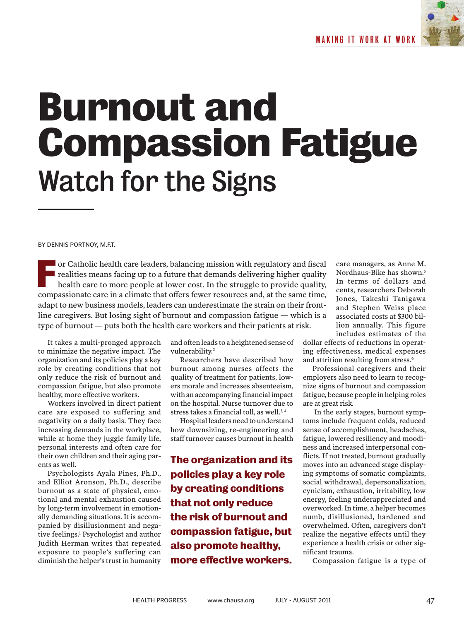

# **Burnout and Compassion Fatigue**  Watch for the Signs

BY DENNIS PORTNOY, M.F.T.

or Catholic health care leaders, balancing mission with regulatory and fiscal realities means facing up to a future that demands delivering higher quality health care to more people at lower cost. In the struggle to provid realities means facing up to a future that demands delivering higher quality health care to more people at lower cost. In the struggle to provide quality, compassionate care in a climate that offers fewer resources and, at the same time, adapt to new business models, leaders can underestimate the strain on their frontline caregivers. But losing sight of burnout and compassion fatigue — which is a type of burnout — puts both the health care workers and their patients at risk.

It takes a multi-pronged approach to minimize the negative impact. The organization and its policies play a key role by creating conditions that not only reduce the risk of burnout and compassion fatigue, but also promote healthy, more effective workers.

Workers involved in direct patient care are exposed to suffering and negativity on a daily basis. They face increasing demands in the workplace, while at home they juggle family life, personal interests and often care for their own children and their aging parents as well.

Psychologists Ayala Pines, Ph.D., and Elliot Aronson, Ph.D., describe burnout as a state of physical, emotional and mental exhaustion caused by long-term involvement in emotionally demanding situations. It is accompanied by disillusionment and negative feelings.1 Psychologist and author Judith Herman writes that repeated exposure to people's suffering can diminish the helper's trust in humanity

and often leads to a heightened sense of vulnerability.<sup>2</sup>

Researchers have described how burnout among nurses affects the quality of treatment for patients, lowers morale and increases absenteeism, with an accompanying financial impact on the hospital. Nurse turnover due to stress takes a financial toll, as well. $3,4$ 

Hospital leaders need to understand how downsizing, re-engineering and staff turnover causes burnout in health

**The organization and its policies play a key role by creating conditions that not only reduce the risk of burnout and compassion fatigue, but also promote healthy, more effective workers.**

care managers, as Anne M. Nordhaus-Bike has shown.5 In terms of dollars and cents, researchers Deborah Jones, Takeshi Tanigawa and Stephen Weiss place associated costs at \$300 billion annually. This figure includes estimates of the

dollar effects of reductions in operating effectiveness, medical expenses and attrition resulting from stress.6

Professional caregivers and their employers also need to learn to recognize signs of burnout and compassion fatigue, because people in helping roles are at great risk.

 In the early stages, burnout symptoms include frequent colds, reduced sense of accomplishment, headaches, fatigue, lowered resiliency and moodiness and increased interpersonal conflicts. If not treated, burnout gradually moves into an advanced stage displaying symptoms of somatic complaints, social withdrawal, depersonalization, cynicism, exhaustion, irritability, low energy, feeling underappreciated and overworked. In time, a helper becomes numb, disillusioned, hardened and overwhelmed. Often, caregivers don't realize the negative effects until they experience a health crisis or other significant trauma.

Compassion fatigue is a type of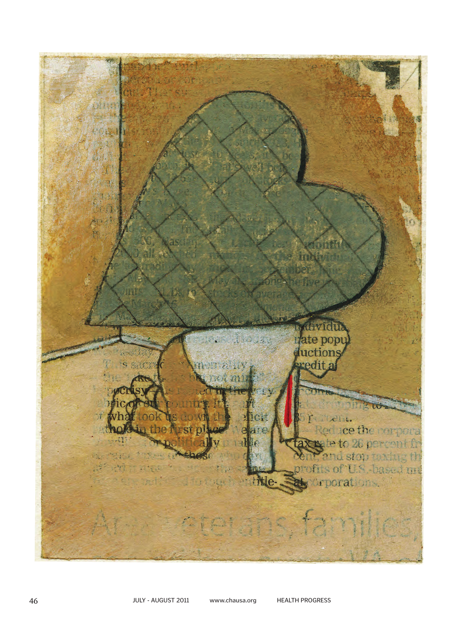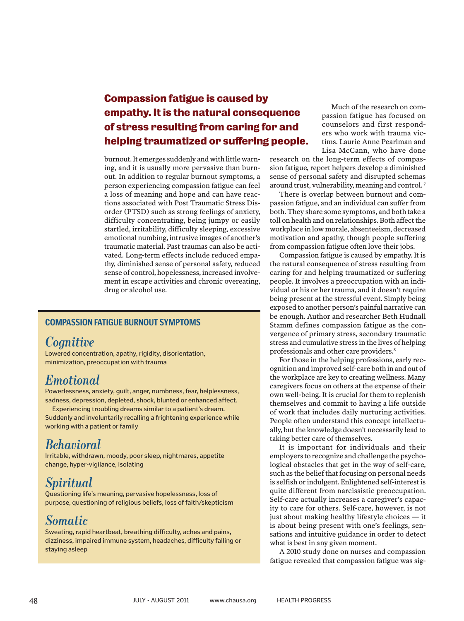## **Compassion fatigue is caused by empathy. It is the natural consequence of stress resulting from caring for and helping traumatized or suffering people.**

burnout. It emerges suddenly and with little warning, and it is usually more pervasive than burnout. In addition to regular burnout symptoms, a person experiencing compassion fatigue can feel a loss of meaning and hope and can have reactions associated with Post Traumatic Stress Disorder (PTSD) such as strong feelings of anxiety, difficulty concentrating, being jumpy or easily startled, irritability, difficulty sleeping, excessive emotional numbing, intrusive images of another's traumatic material. Past traumas can also be activated. Long-term effects include reduced empathy, diminished sense of personal safety, reduced sense of control, hopelessness, increased involvement in escape activities and chronic overeating, drug or alcohol use.

#### **COMPASSION FATIGUE BURNOUT SYMPTOMS**

## *Cognitive*

Lowered concentration, apathy, rigidity, disorientation, minimization, preoccupation with trauma

## *Emotional*

Powerlessness, anxiety, guilt, anger, numbness, fear, helplessness, sadness, depression, depleted, shock, blunted or enhanced affect.

Experiencing troubling dreams similar to a patient's dream. Suddenly and involuntarily recalling a frightening experience while working with a patient or family

## *Behavioral*

Irritable, withdrawn, moody, poor sleep, nightmares, appetite change, hyper-vigilance, isolating

## *Spiritual*

Questioning life's meaning, pervasive hopelessness, loss of purpose, questioning of religious beliefs, loss of faith/skepticism

## *Somatic*

Sweating, rapid heartbeat, breathing difficulty, aches and pains, dizziness, impaired immune system, headaches, difficulty falling or staying asleep

Much of the research on compassion fatigue has focused on counselors and first responders who work with trauma victims. Laurie Anne Pearlman and Lisa McCann, who have done

research on the long-term effects of compassion fatigue, report helpers develop a diminished sense of personal safety and disrupted schemas around trust, vulnerability, meaning and control. 7

There is overlap between burnout and compassion fatigue, and an individual can suffer from both. They share some symptoms, and both take a toll on health and on relationships. Both affect the workplace in low morale, absenteeism, decreased motivation and apathy, though people suffering from compassion fatigue often love their jobs.

Compassion fatigue is caused by empathy. It is the natural consequence of stress resulting from caring for and helping traumatized or suffering people. It involves a preoccupation with an individual or his or her trauma, and it doesn't require being present at the stressful event. Simply being exposed to another person's painful narrative can be enough. Author and researcher Beth Hudnall Stamm defines compassion fatigue as the convergence of primary stress, secondary traumatic stress and cumulative stress in the lives of helping professionals and other care providers.8

For those in the helping professions, early recognition and improved self-care both in and out of the workplace are key to creating wellness. Many caregivers focus on others at the expense of their own well-being. It is crucial for them to replenish themselves and commit to having a life outside of work that includes daily nurturing activities. People often understand this concept intellectually, but the knowledge doesn't necessarily lead to taking better care of themselves.

It is important for individuals and their employers to recognize and challenge the psychological obstacles that get in the way of self-care, such as the belief that focusing on personal needs is selfish or indulgent. Enlightened self-interest is quite different from narcissistic preoccupation. Self-care actually increases a caregiver's capacity to care for others. Self-care, however, is not just about making healthy lifestyle choices — it is about being present with one's feelings, sensations and intuitive guidance in order to detect what is best in any given moment.

A 2010 study done on nurses and compassion fatigue revealed that compassion fatigue was sig-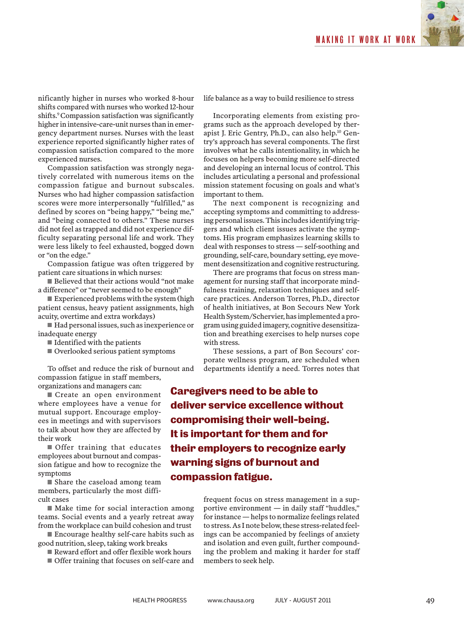

nificantly higher in nurses who worked 8-hour shifts compared with nurses who worked 12-hour shifts.<sup>9</sup> Compassion satisfaction was significantly higher in intensive-care-unit nurses than in emergency department nurses. Nurses with the least experience reported significantly higher rates of compassion satisfaction compared to the more experienced nurses.

Compassion satisfaction was strongly negatively correlated with numerous items on the compassion fatigue and burnout subscales. Nurses who had higher compassion satisfaction scores were more interpersonally "fulfilled," as defined by scores on "being happy," "being me," and "being connected to others." These nurses did not feel as trapped and did not experience difficulty separating personal life and work. They were less likely to feel exhausted, bogged down or "on the edge."

Compassion fatigue was often triggered by patient care situations in which nurses:

■ Believed that their actions would "not make a difference" or "never seemed to be enough"

Experienced problems with the system (high patient census, heavy patient assignments, high acuity, overtime and extra workdays)

Had personal issues, such as inexperience or inadequate energy

- Identified with the patients
- Overlooked serious patient symptoms

To offset and reduce the risk of burnout and compassion fatigue in staff members,

organizations and managers can: Create an open environment

where employees have a venue for mutual support. Encourage employees in meetings and with supervisors to talk about how they are affected by their work

Offer training that educates employees about burnout and compassion fatigue and how to recognize the symptoms

Share the caseload among team members, particularly the most difficult cases

Make time for social interaction among teams. Social events and a yearly retreat away from the workplace can build cohesion and trust

Encourage healthy self-care habits such as good nutrition, sleep, taking work breaks

Reward effort and offer flexible work hours

Offer training that focuses on self-care and

life balance as a way to build resilience to stress

Incorporating elements from existing programs such as the approach developed by therapist J. Eric Gentry, Ph.D., can also help.10 Gentry's approach has several components. The first involves what he calls intentionality, in which he focuses on helpers becoming more self-directed and developing an internal locus of control. This includes articulating a personal and professional mission statement focusing on goals and what's important to them.

The next component is recognizing and accepting symptoms and committing to addressing personal issues. This includes identifying triggers and which client issues activate the symptoms. His program emphasizes learning skills to deal with responses to stress — self-soothing and grounding, self-care, boundary setting, eye movement desensitization and cognitive restructuring.

There are programs that focus on stress management for nursing staff that incorporate mindfulness training, relaxation techniques and selfcare practices. Anderson Torres, Ph.D., director of health initiatives, at Bon Secours New York Health System/Schervier, has implemented a program using guided imagery, cognitive desensitization and breathing exercises to help nurses cope with stress.

These sessions, a part of Bon Secours' corporate wellness program, are scheduled when departments identify a need. Torres notes that

**Caregivers need to be able to deliver service excellence without compromising their well-being. It is important for them and for their employers to recognize early warning signs of burnout and compassion fatigue.**

> frequent focus on stress management in a supportive environment — in daily staff "huddles," for instance — helps to normalize feelings related to stress. As I note below, these stress-related feelings can be accompanied by feelings of anxiety and isolation and even guilt, further compounding the problem and making it harder for staff members to seek help.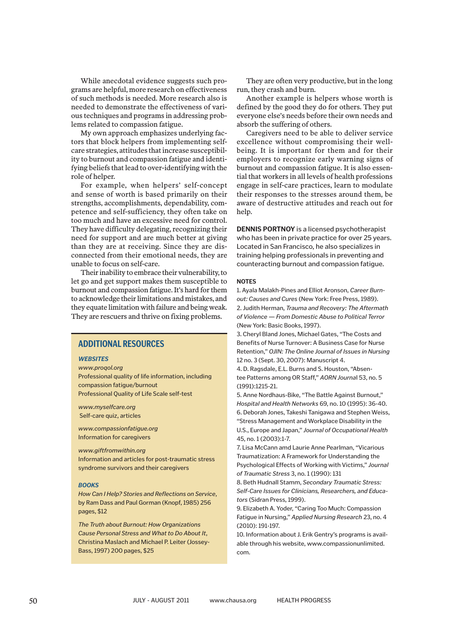While anecdotal evidence suggests such programs are helpful, more research on effectiveness of such methods is needed. More research also is needed to demonstrate the effectiveness of various techniques and programs in addressing problems related to compassion fatigue.

My own approach emphasizes underlying factors that block helpers from implementing selfcare strategies, attitudes that increase susceptibility to burnout and compassion fatigue and identifying beliefs that lead to over-identifying with the role of helper.

For example, when helpers' self-concept and sense of worth is based primarily on their strengths, accomplishments, dependability, competence and self-sufficiency, they often take on too much and have an excessive need for control. They have difficulty delegating, recognizing their need for support and are much better at giving than they are at receiving. Since they are disconnected from their emotional needs, they are unable to focus on self-care.

Their inability to embrace their vulnerability, to let go and get support makes them susceptible to burnout and compassion fatigue. It's hard for them to acknowledge their limitations and mistakes, and they equate limitation with failure and being weak. They are rescuers and thrive on fixing problems.

#### **ADDITIONAL RESOURCES**

#### *WEBSITES*

*www.proqol.org* Professional quality of life information, including compassion fatigue/burnout Professional Quality of Life Scale self-test

*www.myselfcare.org* Self-care quiz, articles

*www.compassionfatigue.org* Information for caregivers

*www.giftfromwithin.org* Information and articles for post-traumatic stress syndrome survivors and their caregivers

#### *BOOKS*

*How Can I Help? Stories and Reflections on Service*, by Ram Dass and Paul Gorman (Knopf, 1985) 256 pages, \$12

*The Truth about Burnout: How Organizations Cause Personal Stress and What to Do About It*, Christina Maslach and Michael P. Leiter (Jossey-Bass, 1997) 200 pages, \$25

They are often very productive, but in the long run, they crash and burn.

Another example is helpers whose worth is defined by the good they do for others. They put everyone else's needs before their own needs and absorb the suffering of others.

Caregivers need to be able to deliver service excellence without compromising their wellbeing. It is important for them and for their employers to recognize early warning signs of burnout and compassion fatigue. It is also essential that workers in all levels of health professions engage in self-care practices, learn to modulate their responses to the stresses around them, be aware of destructive attitudes and reach out for help.

**DENNIS PORTNOY** is a licensed psychotherapist who has been in private practice for over 25 years. Located in San Francisco, he also specializes in training helping professionals in preventing and counteracting burnout and compassion fatigue.

#### **NOTES**

1. Ayala Malakh-Pines and Elliot Aronson, *Career Burnout: Causes and Cures* (New York: Free Press, 1989). 2. Judith Herman, *Trauma and Recovery: The Aftermath of Violence — From Domestic Abuse to Political Terror* (New York: Basic Books, 1997).

3. Cheryl Bland Jones, Michael Gates, "The Costs and Benefits of Nurse Turnover: A Business Case for Nurse Retention," *OJIN: The Online Journal of Issues in Nursing*  12 no. 3 (Sept. 30, 2007): Manuscript 4.

4. D. Ragsdale, E.L. Burns and S. Houston, "Absentee Patterns among OR Staff," *AORN Journa*l 53, no. 5 (1991):1215-21.

5. Anne Nordhaus-Bike, "The Battle Against Burnout," *Hospital and Health Networks* 69, no. 10 (1995): 36-40. 6. Deborah Jones, Takeshi Tanigawa and Stephen Weiss, "Stress Management and Workplace Disability in the U.S., Europe and Japan," *Journal of Occupational Health* 45, no. 1 (2003):1-7.

7. Lisa McCann amd Laurie Anne Pearlman, "Vicarious Traumatization: A Framework for Understanding the Psychological Effects of Working with Victims," *Journal of Traumatic Stress* 3, no. 1 (1990): 131

8. Beth Hudnall Stamm, *Secondary Traumatic Stress: Self-Care Issues for Clinicians, Researchers, and Educators* (Sidran Press, 1999).

9. Elizabeth A. Yoder, "Caring Too Much: Compassion Fatigue in Nursing," *Applied Nursing Research* 23, no. 4 (2010): 191-197.

10. Information about J. Erik Gentry's programs is available through his website, www.compassionunlimited. com.